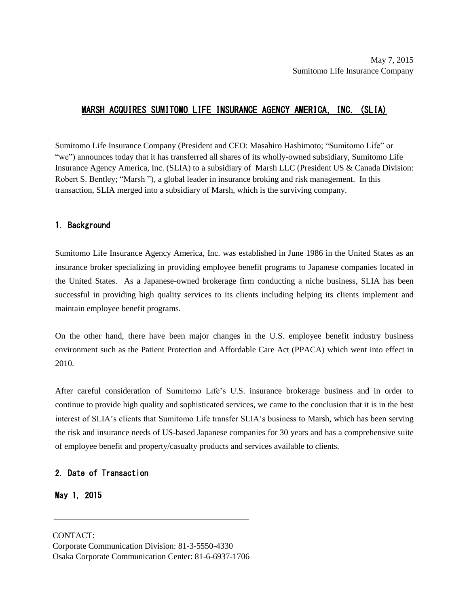### MARSH ACQUIRES SUMITOMO LIFE INSURANCE AGENCY AMERICA, INC. (SLIA)

Sumitomo Life Insurance Company (President and CEO: Masahiro Hashimoto; "Sumitomo Life" or "we") announces today that it has transferred all shares of its wholly-owned subsidiary, Sumitomo Life Insurance Agency America, Inc. (SLIA) to a subsidiary of Marsh LLC (President US & Canada Division: Robert S. Bentley; "Marsh "), a global leader in insurance broking and risk management. In this transaction, SLIA merged into a subsidiary of Marsh, which is the surviving company.

#### 1. Background

Sumitomo Life Insurance Agency America, Inc. was established in June 1986 in the United States as an insurance broker specializing in providing employee benefit programs to Japanese companies located in the United States. As a Japanese-owned brokerage firm conducting a niche business, SLIA has been successful in providing high quality services to its clients including helping its clients implement and maintain employee benefit programs.

On the other hand, there have been major changes in the U.S. employee benefit industry business environment such as the Patient Protection and Affordable Care Act (PPACA) which went into effect in 2010.

After careful consideration of Sumitomo Life's U.S. insurance brokerage business and in order to continue to provide high quality and sophisticated services, we came to the conclusion that it is in the best interest of SLIA's clients that Sumitomo Life transfer SLIA's business to Marsh, which has been serving the risk and insurance needs of US-based Japanese companies for 30 years and has a comprehensive suite of employee benefit and property/casualty products and services available to clients.

### 2. Date of Transaction

May 1, 2015

 CONTACT: Osaka Corporate Communication Center: 81-6-6937-1706Corporate Communication Division: 81-3-5550-4330